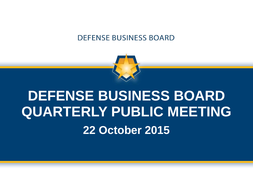

# **DEFENSE BUSINESS BOARD QUARTERLY PUBLIC MEETING 22 October 2015**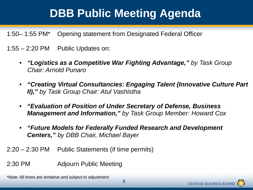# **DBB Public Meeting Agenda**

1:50– 1:55 PM\* Opening statement from Designated Federal Officer

- $1:55 2:20$  PM Public Updates on:
	- *"Logistics as a Competitive War Fighting Advantage," by Task Group Chair: Arnold Punaro*
	- *"Creating Virtual Consultancies: Engaging Talent (Innovative Culture Part II)," by Task Group Chair: Atul Vashistha*
	- *"Evaluation of Position of Under Secretary of Defense, Business Management and Information," by Task Group Member: Howard Cox*
	- *"Future Models for Federally Funded Research and Development Centers," by DBB Chair, Michael Bayer*
- 2:20 2:30 PM Public Statements (if time permits)
- 2:30 PM Adjourn Public Meeting

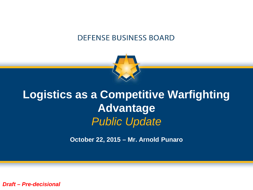

# **Logistics as a Competitive Warfighting Advantage** *Public Update*

**October 22, 2015 – Mr. Arnold Punaro**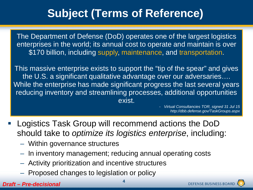# **Subject (Terms of Reference)**

The Department of Defense (DoD) operates one of the largest logistics enterprises in the world; its annual cost to operate and maintain is over \$170 billion, including supply, maintenance, and transportation.

This massive enterprise exists to support the "tip of the spear" and gives the U.S. a significant qualitative advantage over our adversaries…. While the enterprise has made significant progress the last several years reducing inventory and streamlining processes, additional opportunities exist.

> - *Virtual Consultancies TOR, signed 31 Jul 15 http://dbb.defense.gov/TaskGroups.aspx*

- Logistics Task Group will recommend actions the DoD should take to *optimize its logistics enterprise*, including:
	- Within governance structures
	- In inventory management; reducing annual operating costs
	- Activity prioritization and incentive structures
	- Proposed changes to legislation or policy

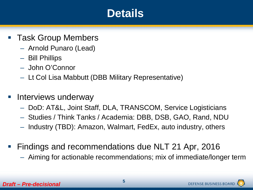### **Details**

- Task Group Members
	- Arnold Punaro (Lead)
	- Bill Phillips
	- John O'Connor
	- Lt Col Lisa Mabbutt (DBB Military Representative)
- Interviews underway
	- DoD: AT&L, Joint Staff, DLA, TRANSCOM, Service Logisticians
	- Studies / Think Tanks / Academia: DBB, DSB, GAO, Rand, NDU
	- Industry (TBD): Amazon, Walmart, FedEx, auto industry, others
- **Findings and recommendations due NLT 21 Apr, 2016** 
	- Aiming for actionable recommendations; mix of immediate/longer term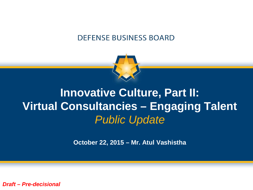

# **Innovative Culture, Part II: Virtual Consultancies – Engaging Talent** *Public Update*

**October 22, 2015 – Mr. Atul Vashistha**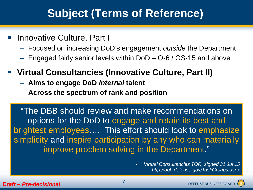# **Subject (Terms of Reference)**

- Innovative Culture, Part I
	- Focused on increasing DoD's engagement *outside* the Department
	- Engaged fairly senior levels within DoD O-6 / GS-15 and above
- **Virtual Consultancies (Innovative Culture, Part II)** 
	- **Aims to engage DoD** *internal* **talent**
	- **Across the spectrum of rank and position**

"The DBB should review and make recommendations on options for the DoD to engage and retain its best and brightest employees…. This effort should look to emphasize simplicity and inspire participation by any who can materially improve problem solving in the Department."

> - *Virtual Consultancies TOR, signed 31 Jul 15 http://dbb.defense.gov/TaskGroups.aspx*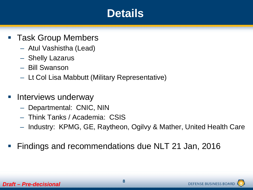### **Details**

- Task Group Members
	- Atul Vashistha (Lead)
	- Shelly Lazarus
	- Bill Swanson
	- Lt Col Lisa Mabbutt (Military Representative)
- Interviews underway
	- Departmental: CNIC, NIN
	- Think Tanks / Academia: CSIS
	- Industry: KPMG, GE, Raytheon, Ogilvy & Mather, United Health Care
- Findings and recommendations due NLT 21 Jan, 2016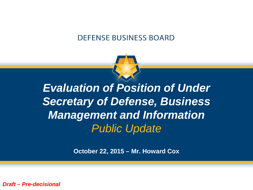

*Evaluation of Position of Under Secretary of Defense, Business Management and Information Public Update*

**October 22, 2015 – Mr. Howard Cox**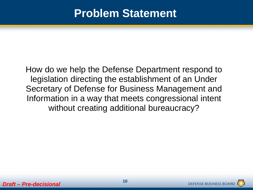### **Problem Statement**

How do we help the Defense Department respond to legislation directing the establishment of an Under Secretary of Defense for Business Management and Information in a way that meets congressional intent without creating additional bureaucracy?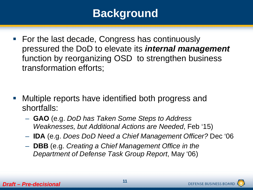# **Background**

■ For the last decade, Congress has continuously pressured the DoD to elevate its *internal management* function by reorganizing OSD to strengthen business transformation efforts;

- Multiple reports have identified both progress and shortfalls:
	- **GAO** (e.g. *DoD has Taken Some Steps to Address Weaknesses, but Additional Actions are Needed*, Feb '15)
	- **IDA** (e.g. *Does DoD Need a Chief Management Officer?* Dec '06
	- **DBB** (e.g. *Creating a Chief Management Office in the Department of Defense Task Group Report*, May '06)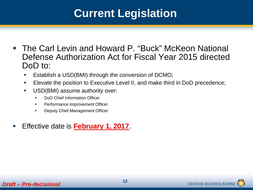# **Current Legislation**

- The Carl Levin and Howard P. "Buck" McKeon National Defense Authorization Act for Fiscal Year 2015 directed DoD to:
	- Establish a USD(BMI) through the conversion of DCMO;
	- **Elevate the position to Executive Level II, and make third in DoD precedence;**
	- **USD(BMI) assume authority over:** 
		- DoD Chief Information Officer
		- Performance Improvement Officer
		- **Deputy Chief Management Officer**
- Effective date is **February 1, 2017**.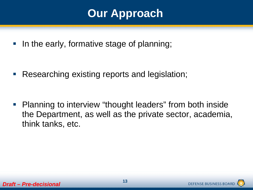# **Our Approach**

In the early, formative stage of planning;

Researching existing reports and legislation;

 Planning to interview "thought leaders" from both inside the Department, as well as the private sector, academia, think tanks, etc.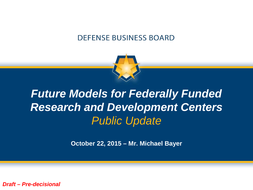

# *Future Models for Federally Funded Research and Development Centers Public Update*

**October 22, 2015 – Mr. Michael Bayer**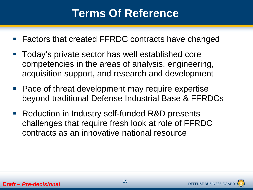## **Terms Of Reference**

- Factors that created FFRDC contracts have changed
- Today's private sector has well established core competencies in the areas of analysis, engineering, acquisition support, and research and development
- Pace of threat development may require expertise beyond traditional Defense Industrial Base & FFRDCs
- Reduction in Industry self-funded R&D presents challenges that require fresh look at role of FFRDC contracts as an innovative national resource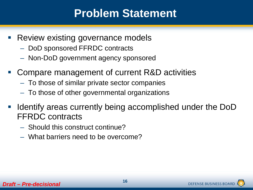## **Problem Statement**

- Review existing governance models
	- DoD sponsored FFRDC contracts
	- Non-DoD government agency sponsored
- Compare management of current R&D activities
	- To those of similar private sector companies
	- To those of other governmental organizations
- Identify areas currently being accomplished under the DoD FFRDC contracts
	- Should this construct continue?
	- What barriers need to be overcome?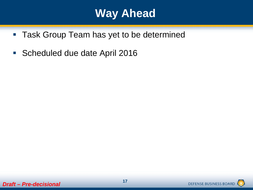## **Way Ahead**

- **Task Group Team has yet to be determined**
- Scheduled due date April 2016